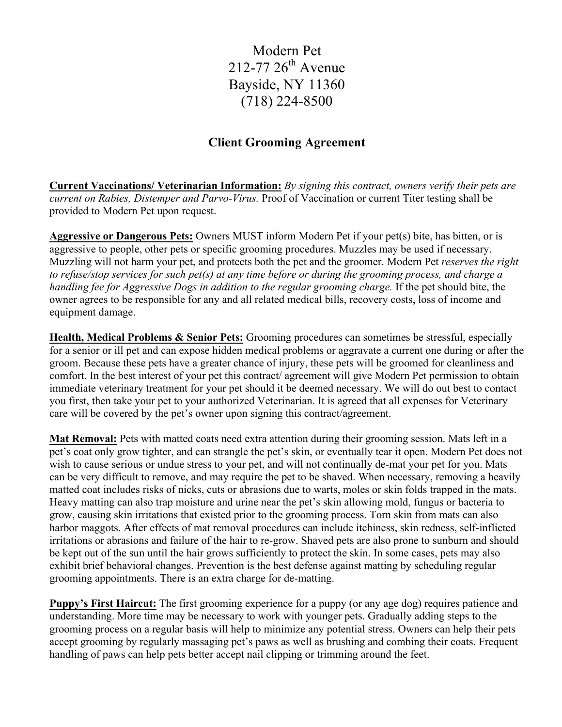Modern Pet  $212 - 77.26$ <sup>th</sup> Avenue Bayside, NY 11360 (718) 224-8500

## **Client Grooming Agreement**

**Current Vaccinations/ Veterinarian Information:** *By signing this contract, owners verify their pets are current on Rabies, Distemper and Parvo-Virus.* Proof of Vaccination or current Titer testing shall be provided to Modern Pet upon request.

**Aggressive or Dangerous Pets:** Owners MUST inform Modern Pet if your pet(s) bite, has bitten, or is aggressive to people, other pets or specific grooming procedures. Muzzles may be used if necessary. Muzzling will not harm your pet, and protects both the pet and the groomer. Modern Pet *reserves the right to refuse/stop services for such pet(s) at any time before or during the grooming process, and charge a handling fee for Aggressive Dogs in addition to the regular grooming charge.* If the pet should bite, the owner agrees to be responsible for any and all related medical bills, recovery costs, loss of income and equipment damage.

**Health, Medical Problems & Senior Pets:** Grooming procedures can sometimes be stressful, especially for a senior or ill pet and can expose hidden medical problems or aggravate a current one during or after the groom. Because these pets have a greater chance of injury, these pets will be groomed for cleanliness and comfort. In the best interest of your pet this contract/ agreement will give Modern Pet permission to obtain immediate veterinary treatment for your pet should it be deemed necessary. We will do out best to contact you first, then take your pet to your authorized Veterinarian. It is agreed that all expenses for Veterinary care will be covered by the pet's owner upon signing this contract/agreement.

**Mat Removal:** Pets with matted coats need extra attention during their grooming session. Mats left in a pet's coat only grow tighter, and can strangle the pet's skin, or eventually tear it open. Modern Pet does not wish to cause serious or undue stress to your pet, and will not continually de-mat your pet for you. Mats can be very difficult to remove, and may require the pet to be shaved. When necessary, removing a heavily matted coat includes risks of nicks, cuts or abrasions due to warts, moles or skin folds trapped in the mats. Heavy matting can also trap moisture and urine near the pet's skin allowing mold, fungus or bacteria to grow, causing skin irritations that existed prior to the grooming process. Torn skin from mats can also harbor maggots. After effects of mat removal procedures can include itchiness, skin redness, self-inflicted irritations or abrasions and failure of the hair to re-grow. Shaved pets are also prone to sunburn and should be kept out of the sun until the hair grows sufficiently to protect the skin. In some cases, pets may also exhibit brief behavioral changes. Prevention is the best defense against matting by scheduling regular grooming appointments. There is an extra charge for de-matting.

**Puppy's First Haircut:** The first grooming experience for a puppy (or any age dog) requires patience and understanding. More time may be necessary to work with younger pets. Gradually adding steps to the grooming process on a regular basis will help to minimize any potential stress. Owners can help their pets accept grooming by regularly massaging pet's paws as well as brushing and combing their coats. Frequent handling of paws can help pets better accept nail clipping or trimming around the feet.